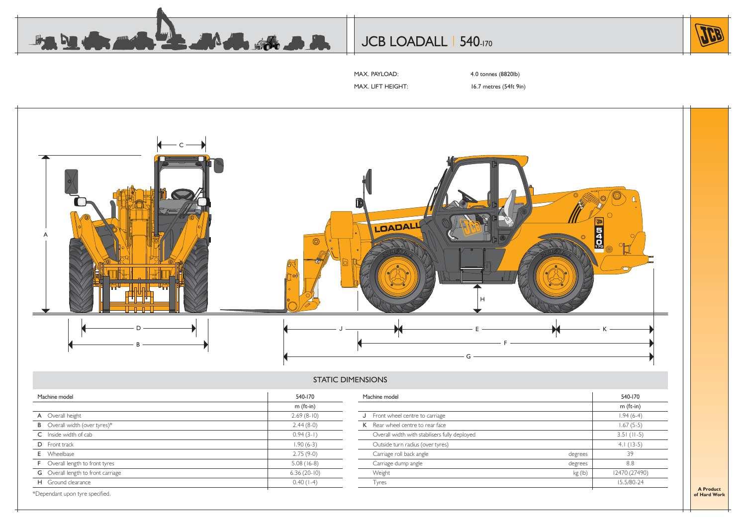

## JCB LOADALL | 540-170



MAX. PAYLOAD: 4.0 tonnes (8820lb)

MAX. LIFT HEIGHT: 16.7 metres (54ft 9in)



### STATIC DIMENSIONS

| Machine model                             | 540-170       | Machine model                                 |         | 540-170       |
|-------------------------------------------|---------------|-----------------------------------------------|---------|---------------|
|                                           | $m$ (ft-in)   |                                               |         | $m$ (ft-in)   |
| A Overall height                          | $2.69(8-10)$  | J Front wheel centre to carriage              |         | $1.94(6-4)$   |
| <b>B</b> Overall width (over tyres)*      | $2.44(8-0)$   | K Rear wheel centre to rear face              |         | $1.67(5-5)$   |
| C Inside width of cab                     | $0.94(3-1)$   | Overall width with stabilisers fully deployed |         | $3.51$ (11-5) |
| <b>D</b> Front track                      | $1.90(6-3)$   | Outside turn radius (over tyres)              |         | $4.1(13-5)$   |
| <b>E</b> Wheelbase                        | $2.75(9-0)$   | Carriage roll back angle                      | degrees | 39            |
| <b>F</b> Overall length to front tyres    | $5.08(16-8)$  | Carriage dump angle                           | degrees | 8.8           |
| <b>G</b> Overall length to front carriage | $6.36(20-10)$ | Weight                                        | kg (lb) | 12470 (27490) |
| H Ground clearance                        | $0.40(1-4)$   | Tyres                                         |         | 15.5/80-24    |

**A Productof Hard Work**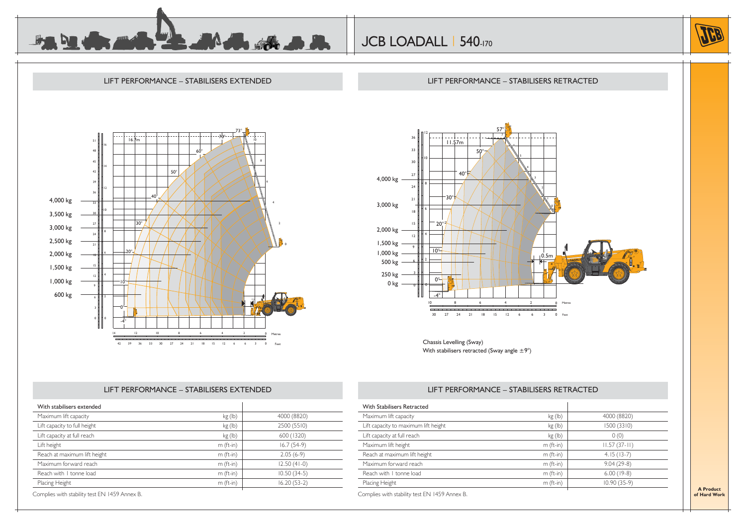



#### LIFT PERFORMANCE – STABILISERS EXTENDED73°70°16.7m511660°8451450°42391236 $40^{\circ}$ 4,000 kg 33103,500 kg 30°273,000 kg 242,500 kg 212,000 kg 20°6181,500 kg 152 H 1 4 121,000 kg 10°9 600 kg 0.5m0°3-4°14 10 8 6 4 12 2 0Metres $\sim$ 422 39 36 33 30 27 24 21 18 15 12 6 6 3 0 Feet

## LIFT PERFORMANCE – STABILISERS RETRACTED



Chassis Levelling (Sway) With stabilisers retracted (Sway angle  $\pm 9^{\circ}$ )

#### LIFT PERFORMANCE – STABILISERS EXTENDED

| Maximum lift capacity        | kg (lb)     | 4000 (8820)   |
|------------------------------|-------------|---------------|
| Lift capacity to full height | kg(h)       | 2500 (5510)   |
| Lift capacity at full reach  | kg(h)       | 600 (1320)    |
| Lift height                  | $m$ (ft-in) | $16.7(54-9)$  |
| Reach at maximum lift height | $m$ (ft-in) | $2.05(6-9)$   |
| Maximum forward reach        | $m$ (ft-in) | $12.50(41-0)$ |
| Reach with I tonne load      | $m$ (ft-in) | $10.50(34-5)$ |
| Placing Height               | $m$ (ft-in) | $16.20(53-2)$ |

### LIFT PERFORMANCE – STABILISERS RETRACTED

| Maximum lift capacity                | kg(h)       | 4000 (8820)    |
|--------------------------------------|-------------|----------------|
| Lift capacity to maximum lift height | kg (lb)     | 1500 (3310)    |
| Lift capacity at full reach          | kg(h)       | 0(0)           |
| Maximum lift height                  | $m$ (ft-in) | $11.57(37-11)$ |
| Reach at maximum lift height         | $m$ (ft-in) | $4.15(13-7)$   |
| Maximum forward reach                | $m$ (ft-in) | $9.04(29-8)$   |
| Reach with 1 tonne load              | $m$ (ft-in) | $6.00(19-8)$   |
| Placing Height                       | $m$ (ft-in) | $10.90(35-9)$  |

**A Productof Hard Work**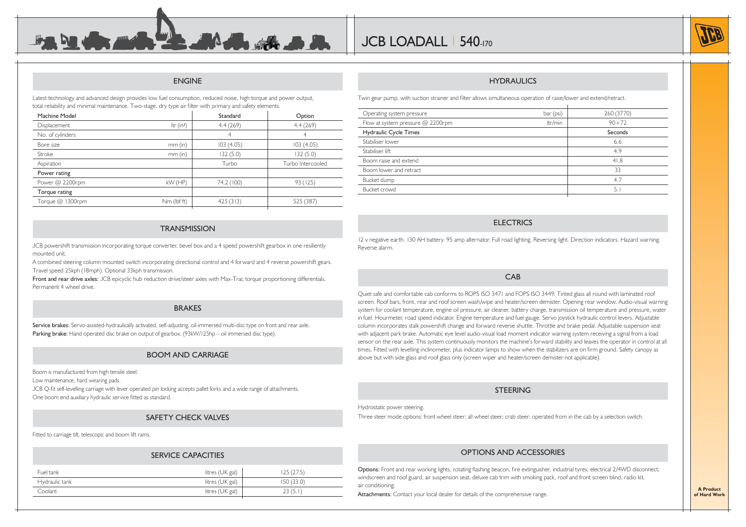#### ENGINE

 $\mathbf{L} = \mathbf{M} \mathbf{A}$ 

Latest technology and advanced design provides low fuel consumption, reduced noise, high torque and power output, total reliability and minimal maintenance. Two-stage, dry type air filter with primary and safety elements.

| Machine Model       |              | Standard   | Option            |
|---------------------|--------------|------------|-------------------|
| <b>Displacement</b> | Itr $(in^3)$ | 4.4(269)   | 4.4(269)          |
| No. of cylinders    |              | 4          | 4                 |
| Bore size           | $mm$ (in)    | 103(4.05)  | 103(4.05)         |
| Stroke              | $mm$ (in)    | 132(5.0)   | 132(5.0)          |
| Aspiration          |              | Turbo      | Turbo Intercooled |
| Power rating        |              |            |                   |
| Power @ 2200rpm     | $kW$ (HP)    | 74.2 (100) | 93 (125)          |
| Torque rating       |              |            |                   |
| Torque @ 1300rpm    | Nm (lbf ft)  | 425(313)   | 525 (387)         |
|                     |              |            |                   |

#### **TRANSMISSION**

JCB powershift transmission incorporating torque converter, bevel box and a 4 speed powershift gearbox in one resiliently mounted unit.

A combined steering column mounted switch incorporating directional control and 4 forward and 4 reverse powershift gears. Travel speed 25kph (18mph). Optional 33kph transmission.

**Front and rear drive axles:** JCB epicyclic hub reduction drive/steer axles with Max-Trac torque proportioning differentials. Permanent 4 wheel drive.

#### BRAKES

**Service brakes:** Servo-assisted-hydraulically activated, self-adjusting, oil-immersed multi-disc type on front and rear axle. Parking brake: Hand operated disc brake on output of gearbox. (93kW/125hp – oil immersed disc type).

#### BOOM AND CARRIAGE

Boom is manufactured from high tensile steel.

Low maintenance, hard wearing pads.

JCB Q-fit self-levelling carriage with lever operated pin locking accepts pallet forks and a wide range of attachments. One boom end auxiliary hydraulic service fitted as standard.

#### SAFETY CHECK VALVES

Fitted to carriage tilt, telescopic and boom lift rams.

#### SERVICE CAPACITIES

| Fuel tank      | litres (UK gal) | 125 (27.5) |
|----------------|-----------------|------------|
| Hydraulic tank | litres (UK gal) | 150(33.0)  |
| Coolant        | litres (UK gal) | 23 (5.1    |
|                |                 |            |

#### HYDRAULICS

Twin gear pump, with suction strainer and filter allows simultaneous operation of raise/lower and extend/retract.

| Operating system pressure           | bar (psi) | 260 (3770) |
|-------------------------------------|-----------|------------|
| Flow at system pressure $@$ 2200rpm | ltr/min   | $90 + 72$  |
| Hydraulic Cycle Times               |           | Seconds    |
| Stabiliser lower                    |           | 6.6        |
| Stabiliser lift                     |           | 4.9        |
| Boom raise and extend               |           | 41.8       |
| Boom lower and retract              |           | 33         |
| Bucket dump                         |           | 4.7        |
| Bucket crowd                        |           | 5.1        |
|                                     |           |            |

#### **ELECTRICS**

12 v negative earth. 130 AH battery. 95 amp alternator. Full road lighting. Reversing light. Direction indicators. Hazard warning. Reverse alarm.

#### CAB

Quiet safe and comfortable cab conforms to ROPS ISO 3471 and FOPS ISO 3449. Tinted glass all round with laminated roof screen. Roof bars, front, rear and roof screen wash/wipe and heater/screen demister. Opening rear window. Audio-visual warning system for coolant temperature, engine oil pressure, air cleaner, battery charge, transmission oil temperature and pressure, water in fuel. Hourmeter, road speed indicator. Engine temperature and fuel gauge. Servo joystick hydraulic control levers. Adjustable column incorporates stalk powershift change and forward reverse shuttle. Throttle and brake pedal. Adjustable suspension seat with adjacent park brake. Automatic eye level audio-visual load moment indicator warning system receiving a signal from a load sensor on the rear axle. This system continuously monitors the machine's forward stability and leaves the operator in control at all times. Fitted with levelling inclinometer, plus indicator lamps to show when the stabilizers are on firm ground. Safety canopy as above but with side glass and roof glass only (screen wiper and heater/screen demister not applicable).

#### **STEERING**

Hydrostatic power steering.

Three steer mode options: front wheel steer; all wheel steer; crab steer: operated from in the cab by a selection switch.

#### OPTIONS AND ACCESSORIES

Options: Front and rear working lights, rotating flashing beacon, fire extinguisher, industrial tyres, electrical 2/4WD disconnect, windscreen and roof guard, air suspension seat, deluxe cab trim with smoking pack, roof and front screen blind, radio kit, air conditioning.

Attachments: Contact your local dealer for details of the comprehensive range.